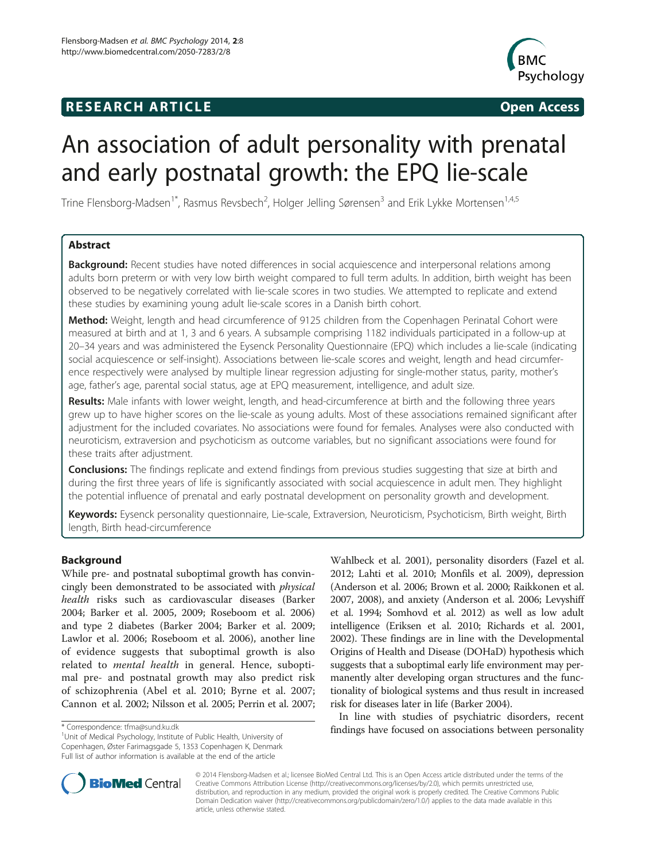## **RESEARCH ARTICLE Example 2014 CONSIDERING CONSIDERING CONSIDERING CONSIDERING CONSIDERING CONSIDERING CONSIDERING CONSIDERING CONSIDERING CONSIDERING CONSIDERING CONSIDERING CONSIDERING CONSIDERING CONSIDERING CONSIDE**



# An association of adult personality with prenatal and early postnatal growth: the EPQ lie-scale

Trine Flensborg-Madsen<sup>1\*</sup>, Rasmus Revsbech<sup>2</sup>, Holger Jelling Sørensen<sup>3</sup> and Erik Lykke Mortensen<sup>1,4,5</sup>

### Abstract

Background: Recent studies have noted differences in social acquiescence and interpersonal relations among adults born preterm or with very low birth weight compared to full term adults. In addition, birth weight has been observed to be negatively correlated with lie-scale scores in two studies. We attempted to replicate and extend these studies by examining young adult lie-scale scores in a Danish birth cohort.

Method: Weight, length and head circumference of 9125 children from the Copenhagen Perinatal Cohort were measured at birth and at 1, 3 and 6 years. A subsample comprising 1182 individuals participated in a follow-up at 20–34 years and was administered the Eysenck Personality Questionnaire (EPQ) which includes a lie-scale (indicating social acquiescence or self-insight). Associations between lie-scale scores and weight, length and head circumference respectively were analysed by multiple linear regression adjusting for single-mother status, parity, mother's age, father's age, parental social status, age at EPQ measurement, intelligence, and adult size.

Results: Male infants with lower weight, length, and head-circumference at birth and the following three years grew up to have higher scores on the lie-scale as young adults. Most of these associations remained significant after adjustment for the included covariates. No associations were found for females. Analyses were also conducted with neuroticism, extraversion and psychoticism as outcome variables, but no significant associations were found for these traits after adjustment.

**Conclusions:** The findings replicate and extend findings from previous studies suggesting that size at birth and during the first three years of life is significantly associated with social acquiescence in adult men. They highlight the potential influence of prenatal and early postnatal development on personality growth and development.

Keywords: Eysenck personality questionnaire, Lie-scale, Extraversion, Neuroticism, Psychoticism, Birth weight, Birth length, Birth head-circumference

### Background

While pre- and postnatal suboptimal growth has convincingly been demonstrated to be associated with physical health risks such as cardiovascular diseases (Barker [2004](#page-6-0); Barker et al. [2005, 2009](#page-6-0); Roseboom et al. [2006](#page-7-0)) and type 2 diabetes (Barker [2004](#page-6-0); Barker et al. [2009](#page-6-0); Lawlor et al. [2006](#page-7-0); Roseboom et al. [2006\)](#page-7-0), another line of evidence suggests that suboptimal growth is also related to mental health in general. Hence, suboptimal pre- and postnatal growth may also predict risk of schizophrenia (Abel et al. [2010;](#page-6-0) Byrne et al. [2007](#page-6-0); Cannon et al. [2002](#page-6-0); Nilsson et al. [2005](#page-7-0); Perrin et al. [2007](#page-7-0);

Wahlbeck et al. [2001\)](#page-7-0), personality disorders (Fazel et al. [2012;](#page-6-0) Lahti et al. [2010](#page-7-0); Monfils et al. [2009](#page-7-0)), depression (Anderson et al. [2006;](#page-6-0) Brown et al. [2000](#page-6-0); Raikkonen et al. [2007, 2008](#page-7-0)), and anxiety (Anderson et al. [2006](#page-6-0); Levyshiff et al. [1994;](#page-7-0) Somhovd et al. [2012\)](#page-7-0) as well as low adult intelligence (Eriksen et al. [2010](#page-6-0); Richards et al. [2001](#page-7-0), [2002\)](#page-7-0). These findings are in line with the Developmental Origins of Health and Disease (DOHaD) hypothesis which suggests that a suboptimal early life environment may permanently alter developing organ structures and the functionality of biological systems and thus result in increased risk for diseases later in life (Barker [2004](#page-6-0)).

In line with studies of psychiatric disorders, recent \* Correspondence: [tfma@sund.ku.dk](mailto:tfma@sund.ku.dk) findings have focused on associations between personality



© 2014 Flensborg-Madsen et al.; licensee BioMed Central Ltd. This is an Open Access article distributed under the terms of the Creative Commons Attribution License (<http://creativecommons.org/licenses/by/2.0>), which permits unrestricted use, distribution, and reproduction in any medium, provided the original work is properly credited. The Creative Commons Public Domain Dedication waiver [\(http://creativecommons.org/publicdomain/zero/1.0/\)](http://creativecommons.org/publicdomain/zero/1.0/) applies to the data made available in this article, unless otherwise stated.

<sup>&</sup>lt;sup>1</sup>Unit of Medical Psychology, Institute of Public Health, University of Copenhagen, Øster Farimagsgade 5, 1353 Copenhagen K, Denmark Full list of author information is available at the end of the article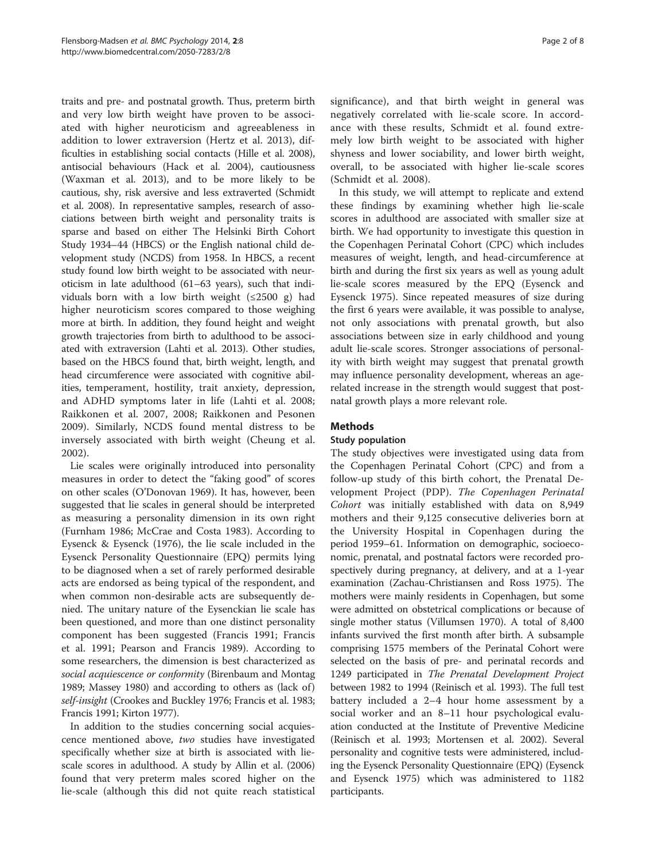traits and pre- and postnatal growth. Thus, preterm birth and very low birth weight have proven to be associated with higher neuroticism and agreeableness in addition to lower extraversion (Hertz et al. [2013](#page-7-0)), difficulties in establishing social contacts (Hille et al. [2008](#page-7-0)), antisocial behaviours (Hack et al. [2004\)](#page-7-0), cautiousness (Waxman et al. [2013\)](#page-7-0), and to be more likely to be cautious, shy, risk aversive and less extraverted (Schmidt et al. [2008\)](#page-7-0). In representative samples, research of associations between birth weight and personality traits is sparse and based on either The Helsinki Birth Cohort Study 1934–44 (HBCS) or the English national child development study (NCDS) from 1958. In HBCS, a recent study found low birth weight to be associated with neuroticism in late adulthood (61–63 years), such that individuals born with a low birth weight  $(\leq 2500 \text{ g})$  had higher neuroticism scores compared to those weighing more at birth. In addition, they found height and weight growth trajectories from birth to adulthood to be associated with extraversion (Lahti et al. [2013\)](#page-7-0). Other studies, based on the HBCS found that, birth weight, length, and head circumference were associated with cognitive abilities, temperament, hostility, trait anxiety, depression, and ADHD symptoms later in life (Lahti et al. [2008](#page-7-0); Raikkonen et al. [2007, 2008;](#page-7-0) Raikkonen and Pesonen [2009\)](#page-7-0). Similarly, NCDS found mental distress to be inversely associated with birth weight (Cheung et al. [2002\)](#page-6-0).

Lie scales were originally introduced into personality measures in order to detect the "faking good" of scores on other scales (O'Donovan [1969\)](#page-7-0). It has, however, been suggested that lie scales in general should be interpreted as measuring a personality dimension in its own right (Furnham [1986;](#page-6-0) McCrae and Costa [1983](#page-7-0)). According to Eysenck & Eysenck [\(1976\)](#page-6-0), the lie scale included in the Eysenck Personality Questionnaire (EPQ) permits lying to be diagnosed when a set of rarely performed desirable acts are endorsed as being typical of the respondent, and when common non-desirable acts are subsequently denied. The unitary nature of the Eysenckian lie scale has been questioned, and more than one distinct personality component has been suggested (Francis [1991;](#page-6-0) Francis et al. [1991;](#page-6-0) Pearson and Francis [1989\)](#page-7-0). According to some researchers, the dimension is best characterized as social acquiescence or conformity (Birenbaum and Montag [1989;](#page-6-0) Massey [1980](#page-7-0)) and according to others as (lack of) self-insight (Crookes and Buckley [1976](#page-6-0); Francis et al. [1983](#page-6-0); Francis [1991](#page-6-0); Kirton [1977\)](#page-7-0).

In addition to the studies concerning social acquiescence mentioned above, two studies have investigated specifically whether size at birth is associated with liescale scores in adulthood. A study by Allin et al. ([2006](#page-6-0)) found that very preterm males scored higher on the lie-scale (although this did not quite reach statistical significance), and that birth weight in general was negatively correlated with lie-scale score. In accordance with these results, Schmidt et al. found extremely low birth weight to be associated with higher shyness and lower sociability, and lower birth weight, overall, to be associated with higher lie-scale scores (Schmidt et al. [2008](#page-7-0)).

In this study, we will attempt to replicate and extend these findings by examining whether high lie-scale scores in adulthood are associated with smaller size at birth. We had opportunity to investigate this question in the Copenhagen Perinatal Cohort (CPC) which includes measures of weight, length, and head-circumference at birth and during the first six years as well as young adult lie-scale scores measured by the EPQ (Eysenck and Eysenck [1975\)](#page-6-0). Since repeated measures of size during the first 6 years were available, it was possible to analyse, not only associations with prenatal growth, but also associations between size in early childhood and young adult lie-scale scores. Stronger associations of personality with birth weight may suggest that prenatal growth may influence personality development, whereas an agerelated increase in the strength would suggest that postnatal growth plays a more relevant role.

### Methods

### Study population

The study objectives were investigated using data from the Copenhagen Perinatal Cohort (CPC) and from a follow-up study of this birth cohort, the Prenatal Development Project (PDP). The Copenhagen Perinatal Cohort was initially established with data on 8,949 mothers and their 9,125 consecutive deliveries born at the University Hospital in Copenhagen during the period 1959–61. Information on demographic, socioeconomic, prenatal, and postnatal factors were recorded prospectively during pregnancy, at delivery, and at a 1-year examination (Zachau-Christiansen and Ross [1975\)](#page-7-0). The mothers were mainly residents in Copenhagen, but some were admitted on obstetrical complications or because of single mother status (Villumsen [1970](#page-7-0)). A total of 8,400 infants survived the first month after birth. A subsample comprising 1575 members of the Perinatal Cohort were selected on the basis of pre- and perinatal records and 1249 participated in The Prenatal Development Project between 1982 to 1994 (Reinisch et al. [1993](#page-7-0)). The full test battery included a 2–4 hour home assessment by a social worker and an 8–11 hour psychological evaluation conducted at the Institute of Preventive Medicine (Reinisch et al. [1993;](#page-7-0) Mortensen et al. [2002](#page-7-0)). Several personality and cognitive tests were administered, including the Eysenck Personality Questionnaire (EPQ) (Eysenck and Eysenck [1975](#page-6-0)) which was administered to 1182 participants.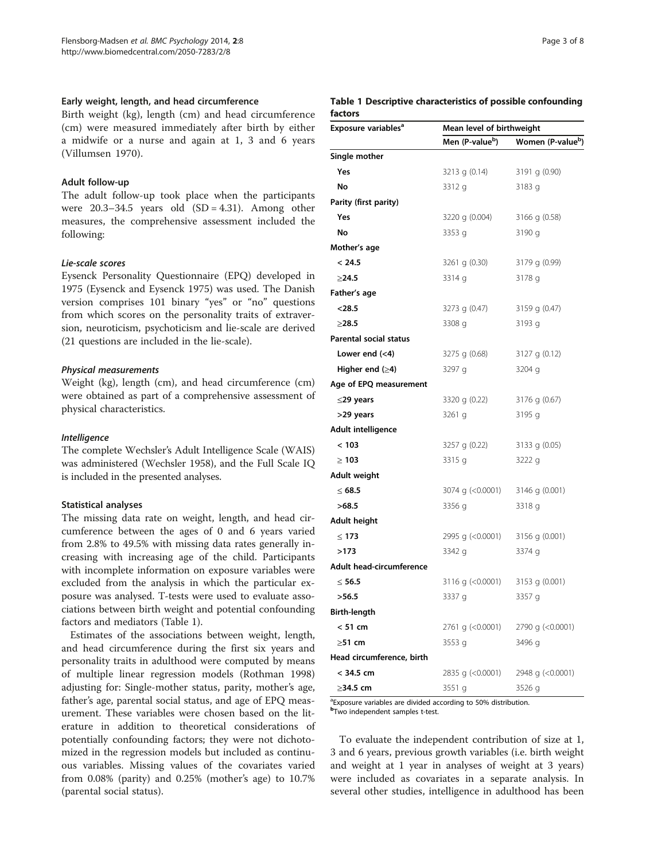#### <span id="page-2-0"></span>Early weight, length, and head circumference

Birth weight (kg), length (cm) and head circumference (cm) were measured immediately after birth by either a midwife or a nurse and again at 1, 3 and 6 years (Villumsen [1970](#page-7-0)).

#### Adult follow-up

The adult follow-up took place when the participants were  $20.3-34.5$  years old  $(SD = 4.31)$ . Among other measures, the comprehensive assessment included the following:

Eysenck Personality Questionnaire (EPQ) developed in 1975 (Eysenck and Eysenck [1975](#page-6-0)) was used. The Danish version comprises 101 binary "yes" or "no" questions from which scores on the personality traits of extraversion, neuroticism, psychoticism and lie-scale are derived (21 questions are included in the lie-scale).

Weight (kg), length (cm), and head circumference (cm) were obtained as part of a comprehensive assessment of physical characteristics.

The complete Wechsler's Adult Intelligence Scale (WAIS) was administered (Wechsler [1958](#page-7-0)), and the Full Scale IQ is included in the presented analyses.

#### Statistical analyses

The missing data rate on weight, length, and head circumference between the ages of 0 and 6 years varied from 2.8% to 49.5% with missing data rates generally increasing with increasing age of the child. Participants with incomplete information on exposure variables were excluded from the analysis in which the particular exposure was analysed. T-tests were used to evaluate associations between birth weight and potential confounding factors and mediators (Table 1).

Estimates of the associations between weight, length, and head circumference during the first six years and personality traits in adulthood were computed by means of multiple linear regression models (Rothman [1998](#page-7-0)) adjusting for: Single-mother status, parity, mother's age, father's age, parental social status, and age of EPQ measurement. These variables were chosen based on the literature in addition to theoretical considerations of potentially confounding factors; they were not dichotomized in the regression models but included as continuous variables. Missing values of the covariates varied from 0.08% (parity) and 0.25% (mother's age) to 10.7% (parental social status).

#### Table 1 Descriptive characteristics of possible confounding factors

| Exposure variables <sup>a</sup> | Mean level of birthweight   |                               |  |  |  |  |
|---------------------------------|-----------------------------|-------------------------------|--|--|--|--|
|                                 | Men (P-value <sup>b</sup> ) | Women (P-value <sup>b</sup> ) |  |  |  |  |
| Single mother                   |                             |                               |  |  |  |  |
| Yes                             | 3213 g (0.14)               | $3191$ g (0.90)               |  |  |  |  |
| No                              | 3312 g                      | 3183 g                        |  |  |  |  |
| Parity (first parity)           |                             |                               |  |  |  |  |
| Yes                             | 3220 g (0.004)              | 3166 g $(0.58)$               |  |  |  |  |
| Nο                              | 3353 g                      | 3190 g                        |  |  |  |  |
| Mother's age                    |                             |                               |  |  |  |  |
| < 24.5                          | 3261 g (0.30)               | 3179 g (0.99)                 |  |  |  |  |
| >24.5                           | 3314 g                      | 3178 g                        |  |  |  |  |
| Father's age                    |                             |                               |  |  |  |  |
| $28.5$                          | 3273 g (0.47)               | $3159$ g $(0.47)$             |  |  |  |  |
| >28.5                           | 3308 g                      | 3193 g                        |  |  |  |  |
| Parental social status          |                             |                               |  |  |  |  |
| Lower end $(<$ 4)               | 3275 g (0.68)               | 3127 g (0.12)                 |  |  |  |  |
| Higher end $(≥4)$               | 3297 g                      | 3204 g                        |  |  |  |  |
| Age of EPQ measurement          |                             |                               |  |  |  |  |
| $\leq$ 29 years                 | 3320 g (0.22)               | 3176 g (0.67)                 |  |  |  |  |
| >29 years                       | 3261 g                      | 3195 g                        |  |  |  |  |
| Adult intelligence              |                             |                               |  |  |  |  |
| < 103                           | 3257 g (0.22)               | 3133 g $(0.05)$               |  |  |  |  |
| $\geq 103$                      | 3315 g                      | 3222 g                        |  |  |  |  |
| Adult weight                    |                             |                               |  |  |  |  |
| $\leq 68.5$                     | 3074 g (<0.0001)            | 3146 g (0.001)                |  |  |  |  |
| >68.5                           | 3356 g                      | 3318 g                        |  |  |  |  |
| Adult height                    |                             |                               |  |  |  |  |
| $\leq 173$                      | 2995 g (<0.0001)            | 3156 g (0.001)                |  |  |  |  |
| >173                            | 3342 g                      | 3374 g                        |  |  |  |  |
| Adult head-circumference        |                             |                               |  |  |  |  |
| $\leq 56.5$                     | 3116 g (<0.0001)            | $3153$ g (0.001)              |  |  |  |  |
| >56.5                           | 3337 g                      | 3357 g                        |  |  |  |  |
| <b>Birth-length</b>             |                             |                               |  |  |  |  |
| $< 51$ cm                       | 2761 g (<0.0001)            | 2790 g (<0.0001)              |  |  |  |  |
| $\geq$ 51 cm                    | 3553 g                      | 3496 g                        |  |  |  |  |
| Head circumference, birth       |                             |                               |  |  |  |  |
| $<$ 34.5 cm                     | 2835 g (<0.0001)            | 2948 g (<0.0001)              |  |  |  |  |
| $\geq$ 34.5 cm                  | 3551 g                      | 3526 g                        |  |  |  |  |

<sup>a</sup> Exposure variables are divided according to 50% distribution.

**b**Two independent samples t-test.

To evaluate the independent contribution of size at 1, 3 and 6 years, previous growth variables (i.e. birth weight and weight at 1 year in analyses of weight at 3 years) were included as covariates in a separate analysis. In several other studies, intelligence in adulthood has been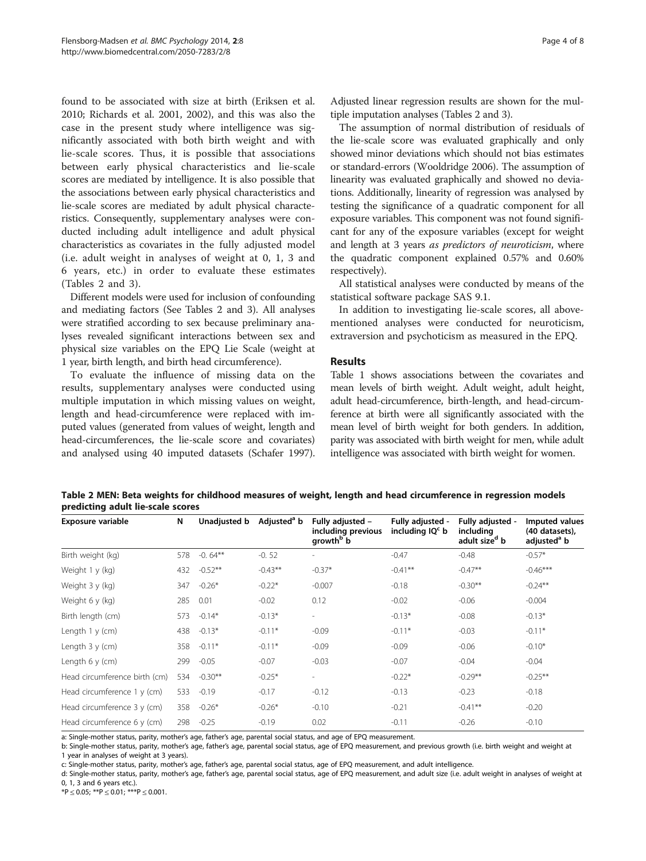<span id="page-3-0"></span>found to be associated with size at birth (Eriksen et al. [2010](#page-6-0); Richards et al. [2001, 2002\)](#page-7-0), and this was also the case in the present study where intelligence was significantly associated with both birth weight and with lie-scale scores. Thus, it is possible that associations between early physical characteristics and lie-scale scores are mediated by intelligence. It is also possible that the associations between early physical characteristics and lie-scale scores are mediated by adult physical characteristics. Consequently, supplementary analyses were conducted including adult intelligence and adult physical characteristics as covariates in the fully adjusted model (i.e. adult weight in analyses of weight at 0, 1, 3 and 6 years, etc.) in order to evaluate these estimates (Tables 2 and [3](#page-4-0)).

Different models were used for inclusion of confounding and mediating factors (See Tables 2 and [3\)](#page-4-0). All analyses were stratified according to sex because preliminary analyses revealed significant interactions between sex and physical size variables on the EPQ Lie Scale (weight at 1 year, birth length, and birth head circumference).

To evaluate the influence of missing data on the results, supplementary analyses were conducted using multiple imputation in which missing values on weight, length and head-circumference were replaced with imputed values (generated from values of weight, length and head-circumferences, the lie-scale score and covariates) and analysed using 40 imputed datasets (Schafer [1997](#page-7-0)).

The assumption of normal distribution of residuals of the lie-scale score was evaluated graphically and only showed minor deviations which should not bias estimates or standard-errors (Wooldridge [2006](#page-7-0)). The assumption of linearity was evaluated graphically and showed no deviations. Additionally, linearity of regression was analysed by testing the significance of a quadratic component for all exposure variables. This component was not found significant for any of the exposure variables (except for weight and length at 3 years as predictors of neuroticism, where the quadratic component explained 0.57% and 0.60% respectively).

All statistical analyses were conducted by means of the statistical software package SAS 9.1.

In addition to investigating lie-scale scores, all abovementioned analyses were conducted for neuroticism, extraversion and psychoticism as measured in the EPQ.

#### Results

Table [1](#page-2-0) shows associations between the covariates and mean levels of birth weight. Adult weight, adult height, adult head-circumference, birth-length, and head-circumference at birth were all significantly associated with the mean level of birth weight for both genders. In addition, parity was associated with birth weight for men, while adult intelligence was associated with birth weight for women.

Table 2 MEN: Beta weights for childhood measures of weight, length and head circumference in regression models predicting adult lie-scale scores

| Exposure variable             | N   | Unadjusted b | Adjusted <sup>a</sup> b | Fully adjusted -<br>including previous<br>growth <sup>b</sup> b | Fully adjusted -<br>including $IQc b$ | Fully adjusted -<br>including<br>adult size <sup>d</sup> b | <b>Imputed values</b><br>(40 datasets),<br>adjusted <sup>a</sup> b |
|-------------------------------|-----|--------------|-------------------------|-----------------------------------------------------------------|---------------------------------------|------------------------------------------------------------|--------------------------------------------------------------------|
| Birth weight (kg)             | 578 | $-0.64**$    | $-0.52$                 | ۰.                                                              | $-0.47$                               | $-0.48$                                                    | $-0.57*$                                                           |
| Weight 1 y (kg)               | 432 | $-0.52**$    | $-0.43**$               | $-0.37*$                                                        | $-0.41***$                            | $-0.47**$                                                  | $-0.46***$                                                         |
| Weight 3 y (kg)               | 347 | $-0.26*$     | $-0.22*$                | $-0.007$                                                        | $-0.18$                               | $-0.30**$                                                  | $-0.24***$                                                         |
| Weight 6 y (kg)               | 285 | 0.01         | $-0.02$                 | 0.12                                                            | $-0.02$                               | $-0.06$                                                    | $-0.004$                                                           |
| Birth length (cm)             | 573 | $-0.14*$     | $-0.13*$                | $\sim$                                                          | $-0.13*$                              | $-0.08$                                                    | $-0.13*$                                                           |
| Length $1 y (cm)$             | 438 | $-0.13*$     | $-0.11*$                | $-0.09$                                                         | $-0.11*$                              | $-0.03$                                                    | $-0.11*$                                                           |
| Length $3y$ (cm)              | 358 | $-0.11*$     | $-0.11*$                | $-0.09$                                                         | $-0.09$                               | $-0.06$                                                    | $-0.10*$                                                           |
| Length $6y$ (cm)              | 299 | $-0.05$      | $-0.07$                 | $-0.03$                                                         | $-0.07$                               | $-0.04$                                                    | $-0.04$                                                            |
| Head circumference birth (cm) | 534 | $-0.30**$    | $-0.25*$                | $\overline{\phantom{a}}$                                        | $-0.22*$                              | $-0.29**$                                                  | $-0.25***$                                                         |
| Head circumference $1 y$ (cm) | 533 | $-0.19$      | $-0.17$                 | $-0.12$                                                         | $-0.13$                               | $-0.23$                                                    | $-0.18$                                                            |
| Head circumference 3 y (cm)   | 358 | $-0.26*$     | $-0.26*$                | $-0.10$                                                         | $-0.21$                               | $-0.41***$                                                 | $-0.20$                                                            |
| Head circumference $6y$ (cm)  | 298 | $-0.25$      | $-0.19$                 | 0.02                                                            | $-0.11$                               | $-0.26$                                                    | $-0.10$                                                            |

a: Single-mother status, parity, mother's age, father's age, parental social status, and age of EPQ measurement.

b: Single-mother status, parity, mother's age, father's age, parental social status, age of EPQ measurement, and previous growth (i.e. birth weight and weight at 1 year in analyses of weight at 3 years).

c: Single-mother status, parity, mother's age, father's age, parental social status, age of EPQ measurement, and adult intelligence.

d: Single-mother status, parity, mother's age, father's age, parental social status, age of EPQ measurement, and adult size (i.e. adult weight in analyses of weight at 0, 1, 3 and 6 years etc.).

 $*P \le 0.05$ ;  $*P \le 0.01$ ;  $***P \le 0.001$ .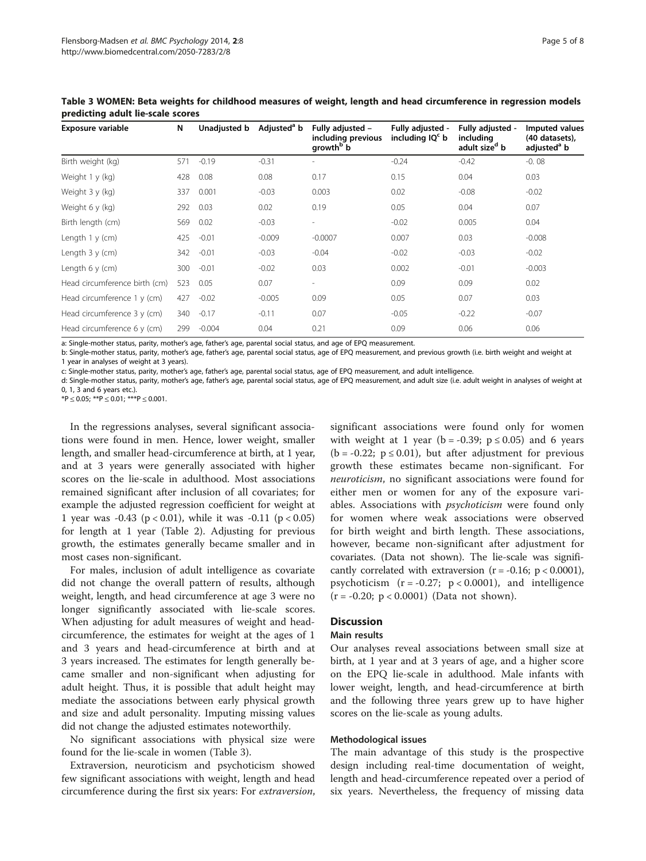<span id="page-4-0"></span>

| Table 3 WOMEN: Beta weights for childhood measures of weight, length and head circumference in regression models |  |  |  |                                                       |  |                                                  |  |  |  |
|------------------------------------------------------------------------------------------------------------------|--|--|--|-------------------------------------------------------|--|--------------------------------------------------|--|--|--|
| predicting adult lie-scale scores                                                                                |  |  |  |                                                       |  |                                                  |  |  |  |
| Exposure variable                                                                                                |  |  |  | Unadjusted b Adjusted <sup>a</sup> b Fully adjusted - |  | Fully adjusted - Fully adjusted - Imputed values |  |  |  |

| Exposure variable             | N   | Unadjusted b | Adjusted" b | - Fully adjusted<br>including previous<br>growth <sup>b</sup> b | Fully adjusted -<br>including $IQc b$ | Fully adjusted -<br>including<br>adult size <sup>d</sup> b | Imputed values<br>(40 datasets),<br>adjusted <sup>a</sup> b |
|-------------------------------|-----|--------------|-------------|-----------------------------------------------------------------|---------------------------------------|------------------------------------------------------------|-------------------------------------------------------------|
| Birth weight (kg)             | 571 | $-0.19$      | $-0.31$     |                                                                 | $-0.24$                               | $-0.42$                                                    | $-0.08$                                                     |
| Weight 1 y (kg)               | 428 | 0.08         | 0.08        | 0.17                                                            | 0.15                                  | 0.04                                                       | 0.03                                                        |
| Weight 3 y (kg)               | 337 | 0.001        | $-0.03$     | 0.003                                                           | 0.02                                  | $-0.08$                                                    | $-0.02$                                                     |
| Weight 6 y (kg)               | 292 | 0.03         | 0.02        | 0.19                                                            | 0.05                                  | 0.04                                                       | 0.07                                                        |
| Birth length (cm)             | 569 | 0.02         | $-0.03$     | $\overline{\phantom{a}}$                                        | $-0.02$                               | 0.005                                                      | 0.04                                                        |
| Length $1 y (cm)$             | 425 | $-0.01$      | $-0.009$    | $-0.0007$                                                       | 0.007                                 | 0.03                                                       | $-0.008$                                                    |
| Length $3y$ (cm)              | 342 | $-0.01$      | $-0.03$     | $-0.04$                                                         | $-0.02$                               | $-0.03$                                                    | $-0.02$                                                     |
| Length $6y$ (cm)              | 300 | $-0.01$      | $-0.02$     | 0.03                                                            | 0.002                                 | $-0.01$                                                    | $-0.003$                                                    |
| Head circumference birth (cm) | 523 | 0.05         | 0.07        | $\overline{\phantom{a}}$                                        | 0.09                                  | 0.09                                                       | 0.02                                                        |
| Head circumference $1 y$ (cm) | 427 | $-0.02$      | $-0.005$    | 0.09                                                            | 0.05                                  | 0.07                                                       | 0.03                                                        |
| Head circumference 3 y (cm)   | 340 | $-0.17$      | $-0.11$     | 0.07                                                            | $-0.05$                               | $-0.22$                                                    | $-0.07$                                                     |
| Head circumference 6 y (cm)   | 299 | $-0.004$     | 0.04        | 0.21                                                            | 0.09                                  | 0.06                                                       | 0.06                                                        |

a: Single-mother status, parity, mother's age, father's age, parental social status, and age of EPQ measurement.

b: Single-mother status, parity, mother's age, father's age, parental social status, age of EPQ measurement, and previous growth (i.e. birth weight and weight at 1 year in analyses of weight at 3 years).

c: Single-mother status, parity, mother's age, father's age, parental social status, age of EPQ measurement, and adult intelligence.

d: Single-mother status, parity, mother's age, father's age, parental social status, age of EPQ measurement, and adult size (i.e. adult weight in analyses of weight at 0, 1, 3 and 6 years etc.).

 $*P \le 0.05$ ;  $*P \le 0.01$ ;  $***P \le 0.001$ .

In the regressions analyses, several significant associations were found in men. Hence, lower weight, smaller length, and smaller head-circumference at birth, at 1 year, and at 3 years were generally associated with higher scores on the lie-scale in adulthood. Most associations remained significant after inclusion of all covariates; for example the adjusted regression coefficient for weight at 1 year was -0.43 ( $p < 0.01$ ), while it was -0.11 ( $p < 0.05$ ) for length at 1 year (Table [2\)](#page-3-0). Adjusting for previous growth, the estimates generally became smaller and in most cases non-significant.

For males, inclusion of adult intelligence as covariate did not change the overall pattern of results, although weight, length, and head circumference at age 3 were no longer significantly associated with lie-scale scores. When adjusting for adult measures of weight and headcircumference, the estimates for weight at the ages of 1 and 3 years and head-circumference at birth and at 3 years increased. The estimates for length generally became smaller and non-significant when adjusting for adult height. Thus, it is possible that adult height may mediate the associations between early physical growth and size and adult personality. Imputing missing values did not change the adjusted estimates noteworthily.

No significant associations with physical size were found for the lie-scale in women (Table 3).

Extraversion, neuroticism and psychoticism showed few significant associations with weight, length and head circumference during the first six years: For extraversion,

significant associations were found only for women with weight at 1 year ( $b = -0.39$ ;  $p \le 0.05$ ) and 6 years (b =  $-0.22$ ; p  $\leq 0.01$ ), but after adjustment for previous growth these estimates became non-significant. For neuroticism, no significant associations were found for either men or women for any of the exposure variables. Associations with *psychoticism* were found only for women where weak associations were observed for birth weight and birth length. These associations, however, became non-significant after adjustment for covariates. (Data not shown). The lie-scale was significantly correlated with extraversion  $(r = -0.16; p < 0.0001)$ , psychoticism  $(r = -0.27; p < 0.0001)$ , and intelligence (r = -0.20; p < 0.0001) (Data not shown).

#### **Discussion**

#### Main results

Our analyses reveal associations between small size at birth, at 1 year and at 3 years of age, and a higher score on the EPQ lie-scale in adulthood. Male infants with lower weight, length, and head-circumference at birth and the following three years grew up to have higher scores on the lie-scale as young adults.

#### Methodological issues

The main advantage of this study is the prospective design including real-time documentation of weight, length and head-circumference repeated over a period of six years. Nevertheless, the frequency of missing data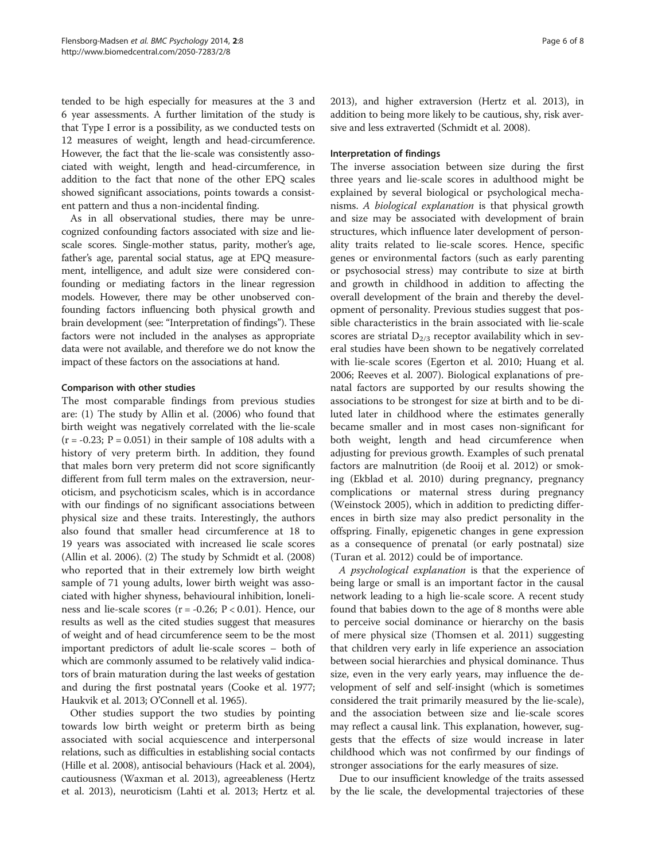tended to be high especially for measures at the 3 and 6 year assessments. A further limitation of the study is that Type I error is a possibility, as we conducted tests on 12 measures of weight, length and head-circumference. However, the fact that the lie-scale was consistently associated with weight, length and head-circumference, in addition to the fact that none of the other EPQ scales showed significant associations, points towards a consistent pattern and thus a non-incidental finding.

As in all observational studies, there may be unrecognized confounding factors associated with size and liescale scores. Single-mother status, parity, mother's age, father's age, parental social status, age at EPQ measurement, intelligence, and adult size were considered confounding or mediating factors in the linear regression models. However, there may be other unobserved confounding factors influencing both physical growth and brain development (see: "Interpretation of findings"). These factors were not included in the analyses as appropriate data were not available, and therefore we do not know the impact of these factors on the associations at hand.

#### Comparison with other studies

The most comparable findings from previous studies are: (1) The study by Allin et al. [\(2006](#page-6-0)) who found that birth weight was negatively correlated with the lie-scale  $(r = -0.23; P = 0.051)$  in their sample of 108 adults with a history of very preterm birth. In addition, they found that males born very preterm did not score significantly different from full term males on the extraversion, neuroticism, and psychoticism scales, which is in accordance with our findings of no significant associations between physical size and these traits. Interestingly, the authors also found that smaller head circumference at 18 to 19 years was associated with increased lie scale scores (Allin et al. [2006](#page-6-0)). (2) The study by Schmidt et al. ([2008](#page-7-0)) who reported that in their extremely low birth weight sample of 71 young adults, lower birth weight was associated with higher shyness, behavioural inhibition, loneliness and lie-scale scores ( $r = -0.26$ ;  $P < 0.01$ ). Hence, our results as well as the cited studies suggest that measures of weight and of head circumference seem to be the most important predictors of adult lie-scale scores – both of which are commonly assumed to be relatively valid indicators of brain maturation during the last weeks of gestation and during the first postnatal years (Cooke et al. [1977](#page-6-0); Haukvik et al. [2013;](#page-7-0) O'Connell et al. [1965\)](#page-7-0).

Other studies support the two studies by pointing towards low birth weight or preterm birth as being associated with social acquiescence and interpersonal relations, such as difficulties in establishing social contacts (Hille et al. [2008\)](#page-7-0), antisocial behaviours (Hack et al. [2004](#page-7-0)), cautiousness (Waxman et al. [2013\)](#page-7-0), agreeableness (Hertz et al. [2013](#page-7-0)), neuroticism (Lahti et al. [2013;](#page-7-0) Hertz et al.

[2013\)](#page-7-0), and higher extraversion (Hertz et al. [2013\)](#page-7-0), in addition to being more likely to be cautious, shy, risk aversive and less extraverted (Schmidt et al. [2008\)](#page-7-0).

#### Interpretation of findings

The inverse association between size during the first three years and lie-scale scores in adulthood might be explained by several biological or psychological mechanisms. A biological explanation is that physical growth and size may be associated with development of brain structures, which influence later development of personality traits related to lie-scale scores. Hence, specific genes or environmental factors (such as early parenting or psychosocial stress) may contribute to size at birth and growth in childhood in addition to affecting the overall development of the brain and thereby the development of personality. Previous studies suggest that possible characteristics in the brain associated with lie-scale scores are striatal  $D_{2/3}$  receptor availability which in several studies have been shown to be negatively correlated with lie-scale scores (Egerton et al. [2010;](#page-6-0) Huang et al. [2006](#page-7-0); Reeves et al. [2007\)](#page-7-0). Biological explanations of prenatal factors are supported by our results showing the associations to be strongest for size at birth and to be diluted later in childhood where the estimates generally became smaller and in most cases non-significant for both weight, length and head circumference when adjusting for previous growth. Examples of such prenatal factors are malnutrition (de Rooij et al. [2012\)](#page-6-0) or smoking (Ekblad et al. [2010](#page-6-0)) during pregnancy, pregnancy complications or maternal stress during pregnancy (Weinstock [2005](#page-7-0)), which in addition to predicting differences in birth size may also predict personality in the offspring. Finally, epigenetic changes in gene expression as a consequence of prenatal (or early postnatal) size (Turan et al. [2012](#page-7-0)) could be of importance.

A psychological explanation is that the experience of being large or small is an important factor in the causal network leading to a high lie-scale score. A recent study found that babies down to the age of 8 months were able to perceive social dominance or hierarchy on the basis of mere physical size (Thomsen et al. [2011\)](#page-7-0) suggesting that children very early in life experience an association between social hierarchies and physical dominance. Thus size, even in the very early years, may influence the development of self and self-insight (which is sometimes considered the trait primarily measured by the lie-scale), and the association between size and lie-scale scores may reflect a causal link. This explanation, however, suggests that the effects of size would increase in later childhood which was not confirmed by our findings of stronger associations for the early measures of size.

Due to our insufficient knowledge of the traits assessed by the lie scale, the developmental trajectories of these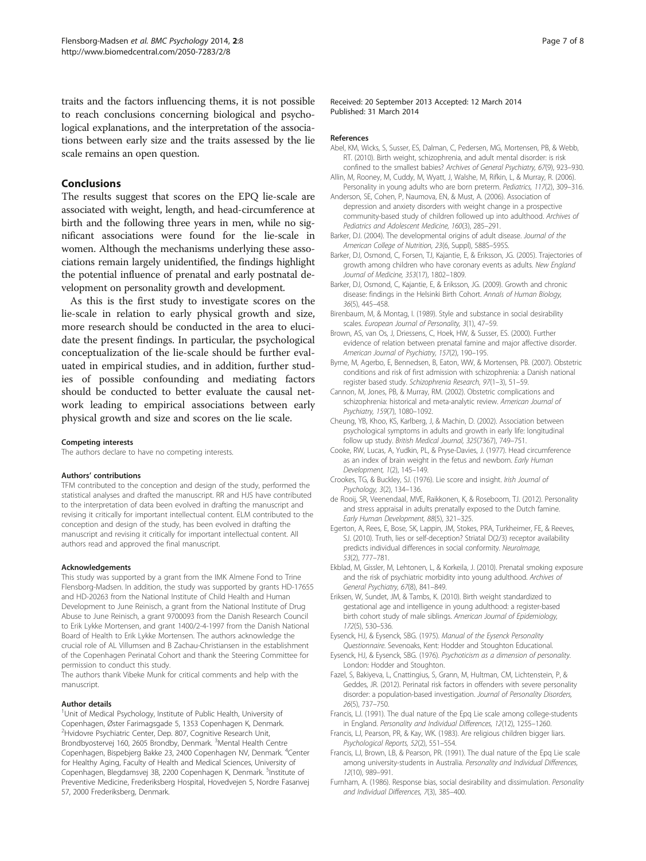<span id="page-6-0"></span>traits and the factors influencing thems, it is not possible to reach conclusions concerning biological and psychological explanations, and the interpretation of the associations between early size and the traits assessed by the lie scale remains an open question.

#### Conclusions

The results suggest that scores on the EPQ lie-scale are associated with weight, length, and head-circumference at birth and the following three years in men, while no significant associations were found for the lie-scale in women. Although the mechanisms underlying these associations remain largely unidentified, the findings highlight the potential influence of prenatal and early postnatal development on personality growth and development.

As this is the first study to investigate scores on the lie-scale in relation to early physical growth and size, more research should be conducted in the area to elucidate the present findings. In particular, the psychological conceptualization of the lie-scale should be further evaluated in empirical studies, and in addition, further studies of possible confounding and mediating factors should be conducted to better evaluate the causal network leading to empirical associations between early physical growth and size and scores on the lie scale.

#### Competing interests

The authors declare to have no competing interests.

#### Authors' contributions

TFM contributed to the conception and design of the study, performed the statistical analyses and drafted the manuscript. RR and HJS have contributed to the interpretation of data been evolved in drafting the manuscript and revising it critically for important intellectual content. ELM contributed to the conception and design of the study, has been evolved in drafting the manuscript and revising it critically for important intellectual content. All authors read and approved the final manuscript.

#### Acknowledgements

This study was supported by a grant from the IMK Almene Fond to Trine Flensborg-Madsen. In addition, the study was supported by grants HD-17655 and HD-20263 from the National Institute of Child Health and Human Development to June Reinisch, a grant from the National Institute of Drug Abuse to June Reinisch, a grant 9700093 from the Danish Research Council to Erik Lykke Mortensen, and grant 1400/2-4-1997 from the Danish National Board of Health to Erik Lykke Mortensen. The authors acknowledge the crucial role of AL Villumsen and B Zachau-Christiansen in the establishment of the Copenhagen Perinatal Cohort and thank the Steering Committee for permission to conduct this study.

The authors thank Vibeke Munk for critical comments and help with the manuscript.

#### Author details

<sup>1</sup>Unit of Medical Psychology, Institute of Public Health, University of Copenhagen, Øster Farimagsgade 5, 1353 Copenhagen K, Denmark. <sup>2</sup>Hvidovre Psychiatric Center, Dep. 807, Cognitive Research Unit, Brondbyostervej 160, 2605 Brondby, Denmark. <sup>3</sup>Mental Health Centre Copenhagen, Bispebjerg Bakke 23, 2400 Copenhagen NV, Denmark. <sup>4</sup>Center for Healthy Aging, Faculty of Health and Medical Sciences, University of Copenhagen, Blegdamsvej 3B, 2200 Copenhagen K, Denmark. <sup>5</sup>Institute of Preventive Medicine, Frederiksberg Hospital, Hovedvejen 5, Nordre Fasanvej 57, 2000 Frederiksberg, Denmark.

#### Received: 20 September 2013 Accepted: 12 March 2014 Published: 31 March 2014

#### References

- Abel, KM, Wicks, S, Susser, ES, Dalman, C, Pedersen, MG, Mortensen, PB, & Webb, RT. (2010). Birth weight, schizophrenia, and adult mental disorder: is risk confined to the smallest babies? Archives of General Psychiatry, 67(9), 923–930.
- Allin, M, Rooney, M, Cuddy, M, Wyatt, J, Walshe, M, Rifkin, L, & Murray, R. (2006). Personality in young adults who are born preterm. Pediatrics, 117(2), 309–316.
- Anderson, SE, Cohen, P, Naumova, EN, & Must, A. (2006). Association of depression and anxiety disorders with weight change in a prospective community-based study of children followed up into adulthood. Archives of Pediatrics and Adolescent Medicine, 160(3), 285–291.
- Barker, DJ. (2004). The developmental origins of adult disease. Journal of the American College of Nutrition, 23(6, Suppl), 588S–595S.
- Barker, DJ, Osmond, C, Forsen, TJ, Kajantie, E, & Eriksson, JG. (2005). Trajectories of growth among children who have coronary events as adults. New England Journal of Medicine, 353(17), 1802–1809.

Barker, DJ, Osmond, C, Kajantie, E, & Eriksson, JG. (2009). Growth and chronic disease: findings in the Helsinki Birth Cohort. Annals of Human Biology, 36(5), 445–458.

- Birenbaum, M, & Montag, I. (1989). Style and substance in social desirability scales. European Journal of Personality, 3(1), 47–59.
- Brown, AS, van Os, J, Driessens, C, Hoek, HW, & Susser, ES. (2000). Further evidence of relation between prenatal famine and major affective disorder. American Journal of Psychiatry, 157(2), 190–195.
- Byrne, M, Agerbo, E, Bennedsen, B, Eaton, WW, & Mortensen, PB. (2007). Obstetric conditions and risk of first admission with schizophrenia: a Danish national register based study. Schizophrenia Research, 97(1–3), 51–59.
- Cannon, M, Jones, PB, & Murray, RM. (2002). Obstetric complications and schizophrenia: historical and meta-analytic review. American Journal of Psychiatry, 159(7), 1080–1092.
- Cheung, YB, Khoo, KS, Karlberg, J, & Machin, D. (2002). Association between psychological symptoms in adults and growth in early life: longitudinal follow up study. British Medical Journal, 325(7367), 749–751.
- Cooke, RW, Lucas, A, Yudkin, PL, & Pryse-Davies, J. (1977). Head circumference as an index of brain weight in the fetus and newborn. Early Human Development, 1(2), 145–149.
- Crookes, TG, & Buckley, SJ. (1976). Lie score and insight. Irish Journal of Psychology, 3(2), 134–136.
- de Rooij, SR, Veenendaal, MVE, Raikkonen, K, & Roseboom, TJ. (2012). Personality and stress appraisal in adults prenatally exposed to the Dutch famine. Early Human Development, 88(5), 321–325.
- Egerton, A, Rees, E, Bose, SK, Lappin, JM, Stokes, PRA, Turkheimer, FE, & Reeves, SJ. (2010). Truth, lies or self-deception? Striatal D(2/3) receptor availability predicts individual differences in social conformity. NeuroImage, 53(2), 777–781.
- Ekblad, M, Gissler, M, Lehtonen, L, & Korkeila, J. (2010). Prenatal smoking exposure and the risk of psychiatric morbidity into young adulthood. Archives of General Psychiatry, 67(8), 841–849.
- Eriksen, W, Sundet, JM, & Tambs, K. (2010). Birth weight standardized to gestational age and intelligence in young adulthood: a register-based birth cohort study of male siblings. American Journal of Epidemiology, 172(5), 530–536.
- Eysenck, HJ, & Eysenck, SBG. (1975). Manual of the Eysenck Personality Questionnaire. Sevenoaks, Kent: Hodder and Stoughton Educational.
- Eysenck, HJ, & Eysenck, SBG. (1976). Psychoticism as a dimension of personality. London: Hodder and Stoughton.
- Fazel, S, Bakiyeva, L, Cnattingius, S, Grann, M, Hultman, CM, Lichtenstein, P, & Geddes, JR. (2012). Perinatal risk factors in offenders with severe personality disorder: a population-based investigation. Journal of Personality Disorders, 26(5), 737–750.
- Francis, LJ. (1991). The dual nature of the Epq Lie scale among college-students in England. Personality and Individual Differences, 12(12), 1255–1260.
- Francis, LJ, Pearson, PR, & Kay, WK. (1983). Are religious children bigger liars. Psychological Reports, 52(2), 551–554.
- Francis, LJ, Brown, LB, & Pearson, PR. (1991). The dual nature of the Epq Lie scale among university-students in Australia. Personality and Individual Differences, 12(10), 989–991.
- Furnham, A. (1986). Response bias, social desirability and dissimulation. Personality and Individual Differences, 7(3), 385–400.